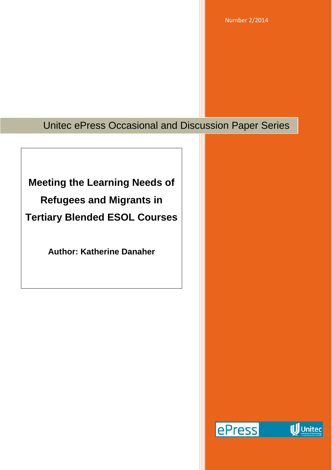Number 2/2014

## Unitec ePress Occasional and Discussion Paper Series

# **Meeting the Learning Needs of Refugees and Migrants in Tertiary Blended ESOL Courses**

**Author: Katherine Danaher**

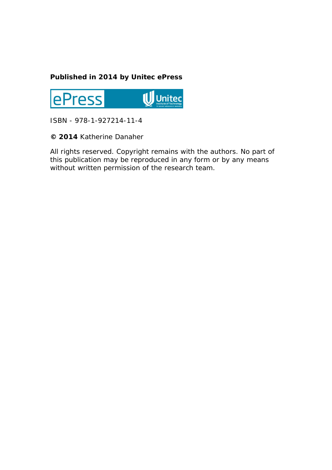#### **Published in 2014 by Unitec ePress**



ISBN - 978-1-927214-11-4

**© 2014** Katherine Danaher

All rights reserved. Copyright remains with the authors. No part of this publication may be reproduced in any form or by any means without written permission of the research team.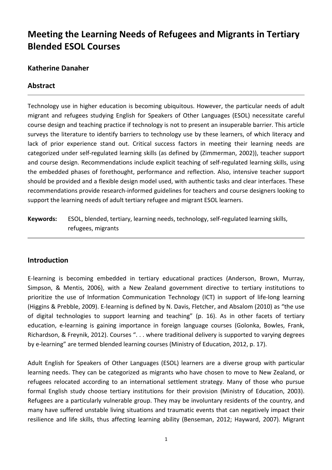### **Meeting the Learning Needs of Refugees and Migrants in Tertiary Blended ESOL Courses**

#### **Katherine Danaher**

#### **Abstract**

Technology use in higher education is becoming ubiquitous. However, the particular needs of adult migrant and refugees studying English for Speakers of Other Languages (ESOL) necessitate careful course design and teaching practice if technology is not to present an insuperable barrier. This article surveys the literature to identify barriers to technology use by these learners, of which literacy and lack of prior experience stand out. Critical success factors in meeting their learning needs are categorized under self-regulated learning skills (as defined by (Zimmerman, 2002)), teacher support and course design. Recommendations include explicit teaching of self-regulated learning skills, using the embedded phases of forethought, performance and reflection. Also, intensive teacher support should be provided and a flexible design model used, with authentic tasks and clear interfaces. These recommendations provide research-informed guidelines for teachers and course designers looking to support the learning needs of adult tertiary refugee and migrant ESOL learners.

**Keywords:** ESOL, blended, tertiary, learning needs, technology, self-regulated learning skills, refugees, migrants

#### **Introduction**

E-learning is becoming embedded in tertiary educational practices (Anderson, Brown, Murray, Simpson, & Mentis, 2006), with a New Zealand government directive to tertiary institutions to prioritize the use of Information Communication Technology (ICT) in support of life-long learning (Higgins & Prebble, 2009). E-learning is defined by N. Davis, Fletcher, and Absalom (2010) as "the use of digital technologies to support learning and teaching" (p. 16). As in other facets of tertiary education, e-learning is gaining importance in foreign language courses (Golonka, Bowles, Frank, Richardson, & Freynik, 2012). Courses ". . . where traditional delivery is supported to varying degrees by e-learning" are termed blended learning courses (Ministry of Education, 2012, p. 17).

Adult English for Speakers of Other Languages (ESOL) learners are a diverse group with particular learning needs. They can be categorized as migrants who have chosen to move to New Zealand, or refugees relocated according to an international settlement strategy. Many of those who pursue formal English study choose tertiary institutions for their provision (Ministry of Education, 2003). Refugees are a particularly vulnerable group. They may be involuntary residents of the country, and many have suffered unstable living situations and traumatic events that can negatively impact their resilience and life skills, thus affecting learning ability (Benseman, 2012; Hayward, 2007). Migrant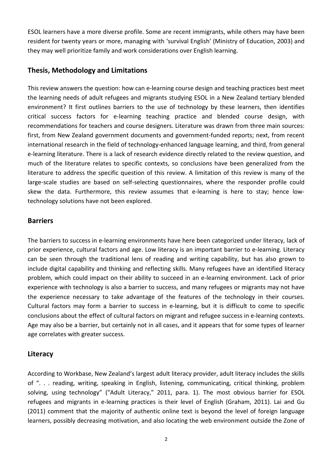ESOL learners have a more diverse profile. Some are recent immigrants, while others may have been resident for twenty years or more, managing with 'survival English' (Ministry of Education, 2003) and they may well prioritize family and work considerations over English learning.

#### **Thesis, Methodology and Limitations**

This review answers the question: how can e-learning course design and teaching practices best meet the learning needs of adult refugees and migrants studying ESOL in a New Zealand tertiary blended environment? It first outlines barriers to the use of technology by these learners, then identifies critical success factors for e-learning teaching practice and blended course design, with recommendations for teachers and course designers. Literature was drawn from three main sources: first, from New Zealand government documents and government-funded reports; next, from recent international research in the field of technology-enhanced language learning, and third, from general e-learning literature. There is a lack of research evidence directly related to the review question, and much of the literature relates to specific contexts, so conclusions have been generalized from the literature to address the specific question of this review. A limitation of this review is many of the large-scale studies are based on self-selecting questionnaires, where the responder profile could skew the data. Furthermore, this review assumes that e-learning is here to stay; hence lowtechnology solutions have not been explored.

#### **Barriers**

The barriers to success in e-learning environments have here been categorized under literacy, lack of prior experience, cultural factors and age. Low literacy is an important barrier to e-learning. Literacy can be seen through the traditional lens of reading and writing capability, but has also grown to include digital capability and thinking and reflecting skills. Many refugees have an identified literacy problem, which could impact on their ability to succeed in an e-learning environment. Lack of prior experience with technology is also a barrier to success, and many refugees or migrants may not have the experience necessary to take advantage of the features of the technology in their courses. Cultural factors may form a barrier to success in e-learning, but it is difficult to come to specific conclusions about the effect of cultural factors on migrant and refugee success in e-learning contexts. Age may also be a barrier, but certainly not in all cases, and it appears that for some types of learner age correlates with greater success.

#### **Literacy**

According to Workbase, New Zealand's largest adult literacy provider, adult literacy includes the skills of ". . . reading, writing, speaking in English, listening, communicating, critical thinking, problem solving, using technology" ("Adult Literacy," 2011, para. 1). The most obvious barrier for ESOL refugees and migrants in e-learning practices is their level of English (Graham, 2011). Lai and Gu (2011) comment that the majority of authentic online text is beyond the level of foreign language learners, possibly decreasing motivation, and also locating the web environment outside the Zone of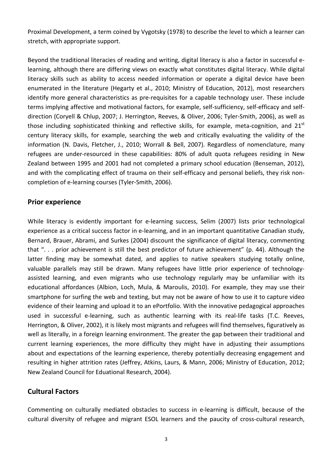Proximal Development, a term coined by Vygotsky (1978) to describe the level to which a learner can stretch, with appropriate support.

Beyond the traditional literacies of reading and writing, digital literacy is also a factor in successful elearning, although there are differing views on exactly what constitutes digital literacy. While digital literacy skills such as ability to access needed information or operate a digital device have been enumerated in the literature (Hegarty et al., 2010; Ministry of Education, 2012), most researchers identify more general characteristics as pre-requisites for a capable technology user. These include terms implying affective and motivational factors, for example, self-sufficiency, self-efficacy and selfdirection (Coryell & Chlup, 2007; J. Herrington, Reeves, & Oliver, 2006; Tyler-Smith, 2006), as well as those including sophisticated thinking and reflective skills, for example, meta-cognition, and  $21<sup>st</sup>$ century literacy skills, for example, searching the web and critically evaluating the validity of the information (N. Davis, Fletcher, J., 2010; Worrall & Bell, 2007). Regardless of nomenclature, many refugees are under-resourced in these capabilities: 80% of adult quota refugees residing in New Zealand between 1995 and 2001 had not completed a primary school education (Benseman, 2012), and with the complicating effect of trauma on their self-efficacy and personal beliefs, they risk noncompletion of e-learning courses (Tyler-Smith, 2006).

#### **Prior experience**

While literacy is evidently important for e-learning success, Selim (2007) lists prior technological experience as a critical success factor in e-learning, and in an important quantitative Canadian study, Bernard, Brauer, Abrami, and Surkes (2004) discount the significance of digital literacy, commenting that ". . . prior achievement is still the best predictor of future achievement" (p. 44). Although the latter finding may be somewhat dated, and applies to native speakers studying totally online, valuable parallels may still be drawn. Many refugees have little prior experience of technologyassisted learning, and even migrants who use technology regularly may be unfamiliar with its educational affordances (Albion, Loch, Mula, & Maroulis, 2010). For example, they may use their smartphone for surfing the web and texting, but may not be aware of how to use it to capture video evidence of their learning and upload it to an ePortfolio. With the innovative pedagogical approaches used in successful e-learning, such as authentic learning with its real-life tasks (T.C. Reeves, Herrington, & Oliver, 2002), it is likely most migrants and refugees will find themselves, figuratively as well as literally, in a foreign learning environment. The greater the gap between their traditional and current learning experiences, the more difficulty they might have in adjusting their assumptions about and expectations of the learning experience, thereby potentially decreasing engagement and resulting in higher attrition rates (Jeffrey, Atkins, Laurs, & Mann, 2006; Ministry of Education, 2012; New Zealand Council for Eduational Research, 2004).

#### **Cultural Factors**

Commenting on culturally mediated obstacles to success in e-learning is difficult, because of the cultural diversity of refugee and migrant ESOL learners and the paucity of cross-cultural research,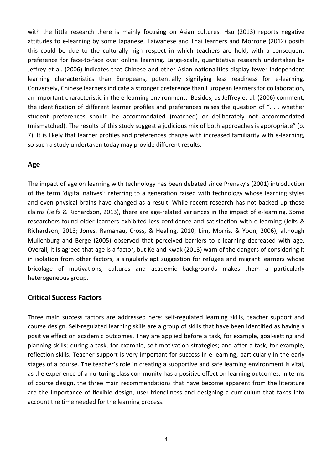with the little research there is mainly focusing on Asian cultures. Hsu (2013) reports negative attitudes to e-learning by some Japanese, Taiwanese and Thai learners and Morrone (2012) posits this could be due to the culturally high respect in which teachers are held, with a consequent preference for face-to-face over online learning. Large-scale, quantitative research undertaken by Jeffrey et al. (2006) indicates that Chinese and other Asian nationalities display fewer independent learning characteristics than Europeans, potentially signifying less readiness for e-learning. Conversely, Chinese learners indicate a stronger preference than European learners for collaboration, an important characteristic in the e-learning environment. Besides, as Jeffrey et al. (2006) comment, the identification of different learner profiles and preferences raises the question of ". . . whether student preferences should be accommodated (matched) or deliberately not accommodated (mismatched). The results of this study suggest a judicious mix of both approaches is appropriate" (p. 7). It is likely that learner profiles and preferences change with increased familiarity with e-learning, so such a study undertaken today may provide different results.

#### **Age**

The impact of age on learning with technology has been debated since Prensky's (2001) introduction of the term 'digital natives': referring to a generation raised with technology whose learning styles and even physical brains have changed as a result. While recent research has not backed up these claims (Jelfs & Richardson, 2013), there are age-related variances in the impact of e-learning. Some researchers found older learners exhibited less confidence and satisfaction with e-learning (Jelfs & Richardson, 2013; Jones, Ramanau, Cross, & Healing, 2010; Lim, Morris, & Yoon, 2006), although Muilenburg and Berge (2005) observed that perceived barriers to e-learning decreased with age. Overall, it is agreed that age is a factor, but Ke and Kwak (2013) warn of the dangers of considering it in isolation from other factors, a singularly apt suggestion for refugee and migrant learners whose bricolage of motivations, cultures and academic backgrounds makes them a particularly heterogeneous group.

#### **Critical Success Factors**

Three main success factors are addressed here: self-regulated learning skills, teacher support and course design. Self-regulated learning skills are a group of skills that have been identified as having a positive effect on academic outcomes. They are applied before a task, for example, goal-setting and planning skills; during a task, for example, self motivation strategies; and after a task, for example, reflection skills. Teacher support is very important for success in e-learning, particularly in the early stages of a course. The teacher's role in creating a supportive and safe learning environment is vital, as the experience of a nurturing class community has a positive effect on learning outcomes. In terms of course design, the three main recommendations that have become apparent from the literature are the importance of flexible design, user-friendliness and designing a curriculum that takes into account the time needed for the learning process.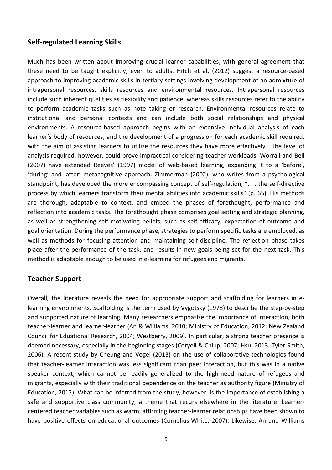#### **Self-regulated Learning Skills**

Much has been written about improving crucial learner capabilities, with general agreement that these need to be taught explicitly, even to adults. Hitch et al. (2012) suggest a resource-based approach to improving academic skills in tertiary settings involving development of an admixture of intrapersonal resources, skills resources and environmental resources. Intrapersonal resources include such inherent qualities as flexibility and patience, whereas skills resources refer to the ability to perform academic tasks such as note taking or research. Environmental resources relate to institutional and personal contexts and can include both social relationships and physical environments. A resource-based approach begins with an extensive individual analysis of each learner's body of resources, and the development of a progression for each academic skill required, with the aim of assisting learners to utilize the resources they have more effectively. The level of analysis required, however, could prove impractical considering teacher workloads. Worrall and Bell (2007) have extended Reeves' (1997) model of web-based learning, expanding it to a 'before', 'during' and 'after' metacognitive approach. Zimmerman (2002), who writes from a psychological standpoint, has developed the more encompassing concept of self-regulation, ". . . the self-directive process by which learners transform their mental abilities into academic skills" (p. 65). His methods are thorough, adaptable to context, and embed the phases of forethought, performance and reflection into academic tasks. The forethought phase comprises goal setting and strategic planning, as well as strengthening self-motivating beliefs, such as self-efficacy, expectation of outcome and goal orientation. During the performance phase, strategies to perform specific tasks are employed, as well as methods for focusing attention and maintaining self-discipline. The reflection phase takes place after the performance of the task, and results in new goals being set for the next task. This method is adaptable enough to be used in e-learning for refugees and migrants.

#### **Teacher Support**

Overall, the literature reveals the need for appropriate support and scaffolding for learners in elearning environments. Scaffolding is the term used by Vygotsky (1978) to describe the step-by-step and supported nature of learning. Many researchers emphasize the importance of interaction, both teacher-learner and learner-learner (An & Williams, 2010; Ministry of Education, 2012; New Zealand Council for Eduational Research, 2004; Westberry, 2009). In particular, a strong teacher presence is deemed necessary, especially in the beginning stages (Coryell & Chlup, 2007; Hsu, 2013; Tyler-Smith, 2006). A recent study by Cheung and Vogel (2013) on the use of collaborative technologies found that teacher-learner interaction was less significant than peer interaction, but this was in a native speaker context, which cannot be readily generalized to the high-need nature of refugees and migrants, especially with their traditional dependence on the teacher as authority figure (Ministry of Education, 2012). What can be inferred from the study, however, is the importance of establishing a safe and supportive class community, a theme that recurs elsewhere in the literature. Learnercentered teacher variables such as warm, affirming teacher-learner relationships have been shown to have positive effects on educational outcomes (Cornelius-White, 2007). Likewise, An and Williams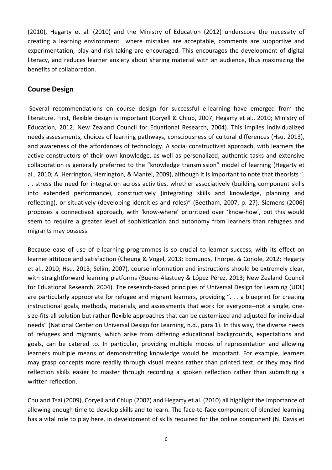(2010), Hegarty et al. (2010) and the Ministry of Education (2012) underscore the necessity of creating a learning environment where mistakes are acceptable, comments are supportive and experimentation, play and risk-taking are encouraged. This encourages the development of digital literacy, and reduces learner anxiety about sharing material with an audience, thus maximizing the benefits of collaboration.

#### **Course Design**

Several recommendations on course design for successful e-learning have emerged from the literature. First, flexible design is important (Coryell & Chlup, 2007; Hegarty et al., 2010; Ministry of Education, 2012; New Zealand Council for Eduational Research, 2004). This implies individualized needs assessments, choices of learning pathways, consciousness of cultural differences (Hsu, 2013), and awareness of the affordances of technology. A social constructivist approach, with learners the active constructors of their own knowledge, as well as personalized, authentic tasks and extensive collaboration is generally preferred to the "knowledge transmission" model of learning (Hegarty et al., 2010; A. Herrington, Herrington, & Mantei, 2009), although it is important to note that theorists ". . . stress the need for integration across activities, whether associatively (building component skills into extended performance), constructively (integrating skills and knowledge, planning and reflecting), or situatively (developing identities and roles)" (Beetham, 2007, p. 27). Siemens (2006) proposes a connectivist approach, with 'know-where' prioritized over 'know-how', but this would seem to require a greater level of sophistication and autonomy from learners than refugees and migrants may possess.

Because ease of use of e-learning programmes is so crucial to learner success, with its effect on learner attitude and satisfaction (Cheung & Vogel, 2013; Edmunds, Thorpe, & Conole, 2012; Hegarty et al., 2010; Hsu, 2013; Selim, 2007), course information and instructions should be extremely clear, with straightforward learning platforms (Bueno-Alastuey & López Pérez, 2013; New Zealand Council for Eduational Research, 2004). The research-based principles of Universal Design for Learning (UDL) are particularly appropriate for refugee and migrant learners, providing ". . . a blueprint for creating instructional goals, methods, materials, and assessments that work for everyone--not a single, onesize-fits-all solution but rather flexible approaches that can be customized and adjusted for individual needs" (National Center on Universal Design for Learning, n.d., para 1). In this way, the diverse needs of refugees and migrants, which arise from differing educational backgrounds, expectations and goals, can be catered to. In particular, providing multiple modes of representation and allowing learners multiple means of demonstrating knowledge would be important. For example, learners may grasp concepts more readily through visual means rather than printed text, or they may find reflection skills easier to master through recording a spoken reflection rather than submitting a written reflection.

Chu and Tsai (2009), Coryell and Chlup (2007) and Hegarty et al. (2010) all highlight the importance of allowing enough time to develop skills and to learn. The face-to-face component of blended learning has a vital role to play here, in development of skills required for the online component (N. Davis et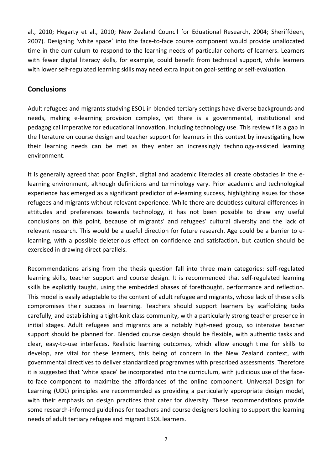al., 2010; Hegarty et al., 2010; New Zealand Council for Eduational Research, 2004; Sheriffdeen, 2007). Designing 'white space' into the face-to-face course component would provide unallocated time in the curriculum to respond to the learning needs of particular cohorts of learners. Learners with fewer digital literacy skills, for example, could benefit from technical support, while learners with lower self-regulated learning skills may need extra input on goal-setting or self-evaluation.

#### **Conclusions**

Adult refugees and migrants studying ESOL in blended tertiary settings have diverse backgrounds and needs, making e-learning provision complex, yet there is a governmental, institutional and pedagogical imperative for educational innovation, including technology use. This review fills a gap in the literature on course design and teacher support for learners in this context by investigating how their learning needs can be met as they enter an increasingly technology-assisted learning environment.

It is generally agreed that poor English, digital and academic literacies all create obstacles in the elearning environment, although definitions and terminology vary. Prior academic and technological experience has emerged as a significant predictor of e-learning success, highlighting issues for those refugees and migrants without relevant experience. While there are doubtless cultural differences in attitudes and preferences towards technology, it has not been possible to draw any useful conclusions on this point, because of migrants' and refugees' cultural diversity and the lack of relevant research. This would be a useful direction for future research. Age could be a barrier to elearning, with a possible deleterious effect on confidence and satisfaction, but caution should be exercised in drawing direct parallels.

Recommendations arising from the thesis question fall into three main categories: self-regulated learning skills, teacher support and course design. It is recommended that self-regulated learning skills be explicitly taught, using the embedded phases of forethought, performance and reflection. This model is easily adaptable to the context of adult refugee and migrants, whose lack of these skills compromises their success in learning. Teachers should support learners by scaffolding tasks carefully, and establishing a tight-knit class community, with a particularly strong teacher presence in initial stages. Adult refugees and migrants are a notably high-need group, so intensive teacher support should be planned for. Blended course design should be flexible, with authentic tasks and clear, easy-to-use interfaces. Realistic learning outcomes, which allow enough time for skills to develop, are vital for these learners, this being of concern in the New Zealand context, with governmental directives to deliver standardized programmes with prescribed assessments. Therefore it is suggested that 'white space' be incorporated into the curriculum, with judicious use of the faceto-face component to maximize the affordances of the online component. Universal Design for Learning (UDL) principles are recommended as providing a particularly appropriate design model, with their emphasis on design practices that cater for diversity. These recommendations provide some research-informed guidelines for teachers and course designers looking to support the learning needs of adult tertiary refugee and migrant ESOL learners.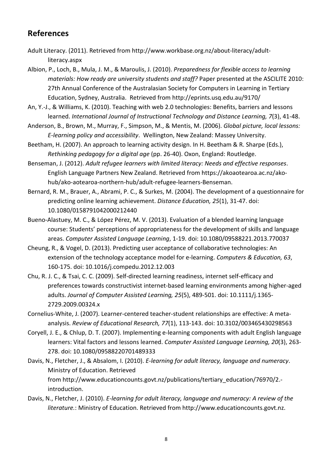#### **References**

- Adult Literacy. (2011). Retrieved from [http://www.workbase.org.nz/about-literacy/adult](http://www.workbase.org.nz/about-literacy/adult-literacy.aspx)[literacy.aspx](http://www.workbase.org.nz/about-literacy/adult-literacy.aspx)
- Albion, P., Loch, B., Mula, J. M., & Maroulis, J. (2010). *Preparedness for flexible access to learning materials: How ready are university students and staff?* Paper presented at the ASCILITE 2010: 27th Annual Conference of the Australasian Society for Computers in Learning in Tertiary Education, Sydney, Australia. Retrieved from<http://eprints.usq.edu.au/9170/>
- An, Y.-J., & Williams, K. (2010). Teaching with web 2.0 technologies: Benefits, barriers and lessons learned. *International Journal of Instructional Technology and Distance Learning, 7*(3), 41-48.
- Anderson, B., Brown, M., Murray, F., Simpson, M., & Mentis, M. (2006). *Global picture, local lessons: E-learning policy and accessibility*. Wellington, New Zealand: Massey University.
- Beetham, H. (2007). An approach to learning activity design. In H. Beetham & R. Sharpe (Eds.), *Rethinking pedagogy for a digital age* (pp. 26-40). Oxon, England: Routledge.
- Benseman, J. (2012). *Adult refugee learners with limited literacy: Needs and effective responses*. English Language Partners New Zealand. Retrieved from https://akoaotearoa.ac.nz/akohub/ako-aotearoa-northern-hub/adult-refugee-learners-Benseman.
- Bernard, R. M., Brauer, A., Abrami, P. C., & Surkes, M. (2004). The development of a questionnaire for predicting online learning achievement. *Distance Education, 25*(1), 31-47. doi: 10.1080/0158791042000212440
- Bueno-Alastuey, M. C., & López Pérez, M. V. (2013). Evaluation of a blended learning language course: Students' perceptions of appropriateness for the development of skills and language areas. *Computer Assisted Language Learning*, 1-19. doi: 10.1080/09588221.2013.770037
- Cheung, R., & Vogel, D. (2013). Predicting user acceptance of collaborative technologies: An extension of the technology acceptance model for e-learning. *Computers & Education, 63*, 160-175. doi: 10.1016/j.compedu.2012.12.003
- Chu, R. J. C., & Tsai, C. C. (2009). Self-directed learning readiness, internet self-efficacy and preferences towards constructivist internet-based learning environments among higher-aged adults. *Journal of Computer Assisted Learning, 25*(5), 489-501. doi: 10.1111/j.1365- 2729.2009.00324.x
- Cornelius-White, J. (2007). Learner-centered teacher-student relationships are effective: A metaanalysis. *Review of Educational Research, 77*(1), 113-143. doi: 10.3102/003465430298563
- Coryell, J. E., & Chlup, D. T. (2007). Implementing e-learning components with adult English language learners: Vital factors and lessons learned. *Computer Assisted Language Learning, 20*(3), 263- 278. doi: 10.1080/09588220701489333
- Davis, N., Fletcher, J., & Absalom, I. (2010). *E-learning for adult literacy, language and numeracy*. Ministry of Education. Retrieved from [http://www.educationcounts.govt.nz/publications/tertiary\\_education/76970/2.](http://www.educationcounts.govt.nz/publications/tertiary_education/76970/2.-introduction) [introduction.](http://www.educationcounts.govt.nz/publications/tertiary_education/76970/2.-introduction)
- Davis, N., Fletcher, J. (2010). *E-learning for adult literacy, language and numeracy: A review of the literature.*: Ministry of Education. Retrieved fro[m http://www.educationcounts.govt.nz.](http://www.educationcounts.govt.nz/)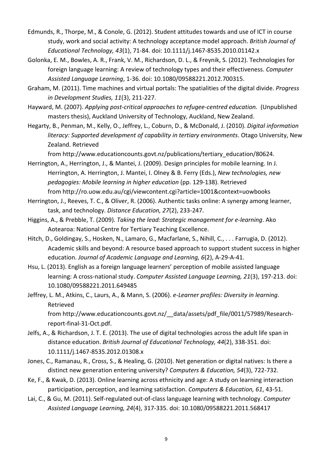- Edmunds, R., Thorpe, M., & Conole, G. (2012). Student attitudes towards and use of ICT in course study, work and social activity: A technology acceptance model approach. *British Journal of Educational Technology, 43*(1), 71-84. doi: 10.1111/j.1467-8535.2010.01142.x
- Golonka, E. M., Bowles, A. R., Frank, V. M., Richardson, D. L., & Freynik, S. (2012). Technologies for foreign language learning: A review of technology types and their effectiveness. *Computer Assisted Language Learning*, 1-36. doi: 10.1080/09588221.2012.700315.
- Graham, M. (2011). Time machines and virtual portals: The spatialities of the digital divide. *Progress in Development Studies, 11*(3), 211-227.
- Hayward, M. (2007). *Applying post-critical approaches to refugee-centred education.* (Unpublished masters thesis), Auckland University of Technology, Auckland, New Zealand.
- Hegarty, B., Penman, M., Kelly, O., Jeffrey, L., Coburn, D., & McDonald, J. (2010). *Digital information literacy: Supported development of capability in tertiary environments*. Otago University, New Zealand. Retrieved

from [http://www.educationcounts.govt.nz/publications/tertiary\\_education/80624.](http://www.educationcounts.govt.nz/publications/tertiary_education/80624)

- Herrington, A., Herrington, J., & Mantei, J. (2009). Design principles for mobile learning. In J. Herrington, A. Herrington, J. Mantei, I. Olney & B. Ferry (Eds.), *New technologies, new pedagogies: Mobile learning in higher education* (pp. 129-138). Retrieved from<http://ro.uow.edu.au/cgi/viewcontent.cgi?article=1001&context=uowbooks>
- Herrington, J., Reeves, T. C., & Oliver, R. (2006). Authentic tasks online: A synergy among learner, task, and technology. *Distance Education, 27*(2), 233-247.
- Higgins, A., & Prebble, T. (2009). *Taking the lead: Strategic management for e-learning*. Ako Aotearoa: National Centre for Tertiary Teaching Excellence.
- Hitch, D., Goldingay, S., Hosken, N., Lamaro, G., Macfarlane, S., Nihill, C., . . . Farrugia, D. (2012). Academic skills and beyond: A resource based approach to support student success in higher education. *Journal of Academic Language and Learning, 6*(2), A-29-A-41.
- Hsu, L. (2013). English as a foreign language learners' perception of mobile assisted language learning: A cross-national study. *Computer Assisted Language Learning, 21*(3), 197-213. doi: 10.1080/09588221.2011.649485
- Jeffrey, L. M., Atkins, C., Laurs, A., & Mann, S. (2006). *e-Learner profiles: Diversity in learning*. Retrieved from [http://www.educationcounts.govt.nz/\\_\\_data/assets/pdf\\_file/0011/57989/Research-](http://www.educationcounts.govt.nz/__data/assets/pdf_file/0011/57989/Research-report-final-31-Oct.pdf)

[report-final-31-Oct.pdf.](http://www.educationcounts.govt.nz/__data/assets/pdf_file/0011/57989/Research-report-final-31-Oct.pdf)

- Jelfs, A., & Richardson, J. T. E. (2013). The use of digital technologies across the adult life span in distance education. *British Journal of Educational Technology, 44*(2), 338-351. doi: 10.1111/j.1467-8535.2012.01308.x
- Jones, C., Ramanau, R., Cross, S., & Healing, G. (2010). Net generation or digital natives: Is there a distinct new generation entering university? *Computers & Education, 54*(3), 722-732.
- Ke, F., & Kwak, D. (2013). Online learning across ethnicity and age: A study on learning interaction participation, perception, and learning satisfaction. *Computers & Education, 61*, 43-51.
- Lai, C., & Gu, M. (2011). Self-regulated out-of-class language learning with technology. *Computer Assisted Language Learning, 24*(4), 317-335. doi: 10.1080/09588221.2011.568417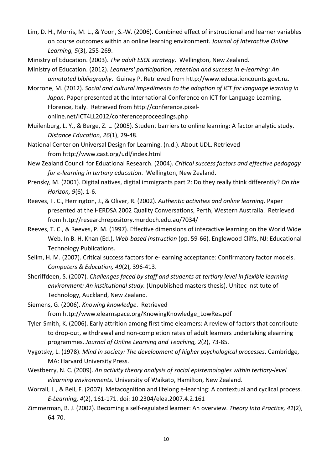- Lim, D. H., Morris, M. L., & Yoon, S.-W. (2006). Combined effect of instructional and learner variables on course outcomes within an online learning environment. *Journal of Interactive Online Learning, 5*(3), 255-269.
- Ministry of Education. (2003). *The adult ESOL strategy*. Wellington, New Zealand.
- Ministry of Education. (2012). *Learners' participation, retention and success in e-learning: An annotated bibliography*. Guiney P. Retrieved from [http://www.educationcounts.govt.nz.](http://www.educationcounts.govt.nz/)
- Morrone, M. (2012). *Social and cultural impediments to the adoption of ICT for language learning in Japan*. Paper presented at the International Conference on ICT for Language Learning, Florence, Italy. Retrieved from [http://conference.pixel](http://conference.pixel-online.net/ICT4LL2012/conferenceproceedings.php)[online.net/ICT4LL2012/conferenceproceedings.php](http://conference.pixel-online.net/ICT4LL2012/conferenceproceedings.php)
- Muilenburg, L. Y., & Berge, Z. L. (2005). Student barriers to online learning: A factor analytic study. *Distance Education, 26*(1), 29-48.
- National Center on Universal Design for Learning. (n.d.). About UDL. Retrieved from<http://www.cast.org/udl/index.html>
- New Zealand Council for Eduational Research. (2004). *Critical success factors and effective pedagogy for e-learning in tertiary education*. Wellington, New Zealand.
- Prensky, M. (2001). Digital natives, digital immigrants part 2: Do they really think differently? *On the Horizon, 9*(6), 1-6.
- Reeves, T. C., Herrington, J., & Oliver, R. (2002). *Authentic activities and online learning*. Paper presented at the HERDSA 2002 Quality Conversations, Perth, Western Australia. Retrieved from<http://researchrepository.murdoch.edu.au/7034/>
- Reeves, T. C., & Reeves, P. M. (1997). Effective dimensions of interactive learning on the World Wide Web. In B. H. Khan (Ed.), *Web-based instruction* (pp. 59-66). Englewood Cliffs, NJ: Educational Technology Publications.
- Selim, H. M. (2007). Critical success factors for e-learning acceptance: Confirmatory factor models. *Computers & Education, 49*(2), 396-413.
- Sheriffdeen, S. (2007). *Challenges faced by staff and students at tertiary level in flexible learning environment: An institutional study.* (Unpublished masters thesis). Unitec Institute of Technology, Auckland, New Zealand.
- Siemens, G. (2006). *Knowing knowledge*. Retrieved from [http://www.elearnspace.org/KnowingKnowledge\\_LowRes.pdf](http://www.elearnspace.org/KnowingKnowledge_LowRes.pdf)
- Tyler-Smith, K. (2006). Early attrition among first time elearners: A review of factors that contribute to drop-out, withdrawal and non-completion rates of adult learners undertaking elearning programmes. *Journal of Online Learning and Teaching, 2*(2), 73-85.
- Vygotsky, L. (1978). *Mind in society: The development of higher psychological processes*. Cambridge, MA: Harvard University Press.
- Westberry, N. C. (2009). *An activity theory analysis of social epistemologies within tertiary-level elearning environments.* University of Waikato, Hamilton, New Zealand.
- Worrall, L., & Bell, F. (2007). Metacognition and lifelong e-learning: A contextual and cyclical process. *E-Learning, 4*(2), 161-171. doi: 10.2304/elea.2007.4.2.161
- Zimmerman, B. J. (2002). Becoming a self-regulated learner: An overview. *Theory Into Practice, 41*(2), 64-70.